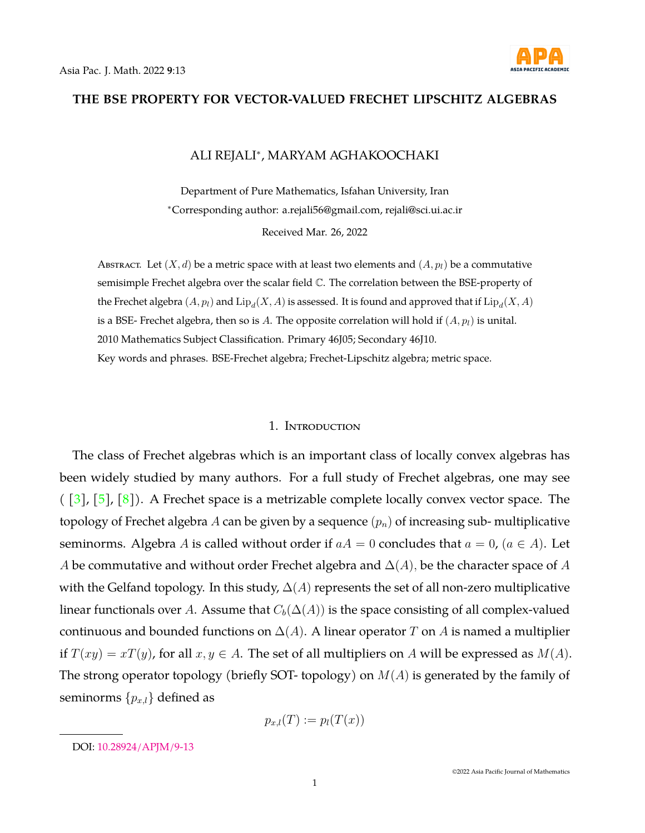

## **THE BSE PROPERTY FOR VECTOR-VALUED FRECHET LIPSCHITZ ALGEBRAS**

# ALI REJALI<sup>∗</sup> , MARYAM AGHAKOOCHAKI

Department of Pure Mathematics, Isfahan University, Iran <sup>∗</sup>Corresponding author: a.rejali56@gmail.com, rejali@sci.ui.ac.ir Received Mar. 26, 2022

ABSTRACT. Let  $(X, d)$  be a metric space with at least two elements and  $(A, p<sub>l</sub>)$  be a commutative semisimple Frechet algebra over the scalar field C. The correlation between the BSE-property of the Frechet algebra  $(A, p_l)$  and  $\mathrm{Lip}_d(X, A)$  is assessed. It is found and approved that if  $\mathrm{Lip}_d(X, A)$ is a BSE- Frechet algebra, then so is A. The opposite correlation will hold if  $(A, p_l)$  is unital. 2010 Mathematics Subject Classification. Primary 46J05; Secondary 46J10. Key words and phrases. BSE-Frechet algebra; Frechet-Lipschitz algebra; metric space.

#### 1. Introduction

The class of Frechet algebras which is an important class of locally convex algebras has been widely studied by many authors. For a full study of Frechet algebras, one may see  $([3], [5], [8])$  $([3], [5], [8])$  $([3], [5], [8])$  $([3], [5], [8])$  $([3], [5], [8])$  $([3], [5], [8])$  $([3], [5], [8])$ . A Frechet space is a metrizable complete locally convex vector space. The topology of Frechet algebra A can be given by a sequence  $(p_n)$  of increasing sub-multiplicative seminorms. Algebra A is called without order if  $aA = 0$  concludes that  $a = 0$ ,  $(a \in A)$ . Let A be commutative and without order Frechet algebra and  $\Delta(A)$ , be the character space of A with the Gelfand topology. In this study,  $\Delta(A)$  represents the set of all non-zero multiplicative linear functionals over A. Assume that  $C_b(\Delta(A))$  is the space consisting of all complex-valued continuous and bounded functions on  $\Delta(A)$ . A linear operator T on A is named a multiplier if  $T(xy) = xT(y)$ , for all  $x, y \in A$ . The set of all multipliers on A will be expressed as  $M(A)$ . The strong operator topology (briefly SOT- topology) on  $M(A)$  is generated by the family of seminorms  $\{p_{x,l}\}\$  defined as

$$
p_{x,l}(T) := p_l(T(x))
$$

DOI: [10.28924/APJM/9-13](https://doi.org/10.28924/APJM/9-13)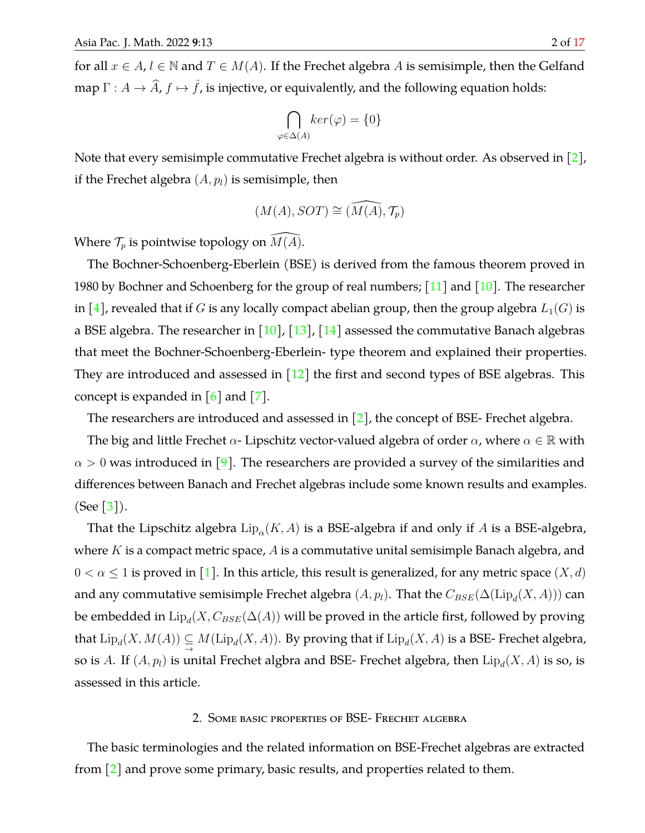for all  $x \in A$ ,  $l \in \mathbb{N}$  and  $T \in M(A)$ . If the Frechet algebra A is semisimple, then the Gelfand map  $\Gamma: A \to \widehat{A}$ ,  $f \mapsto \widehat{f}$ , is injective, or equivalently, and the following equation holds:

$$
\bigcap_{\varphi \in \Delta(A)} \ker(\varphi) = \{0\}
$$

Note that every semisimple commutative Frechet algebra is without order. As observed in [\[2\]](#page-16-4), if the Frechet algebra  $(A, p_l)$  is semisimple, then

$$
(M(A),SOT) \cong (\widehat{M(A)},\mathcal{T}_p)
$$

Where  $\mathcal{T}_p$  is pointwise topology on  $M(A)$ .

The Bochner-Schoenberg-Eberlein (BSE) is derived from the famous theorem proved in 1980 by Bochner and Schoenberg for the group of real numbers; [\[11\]](#page-16-5) and [\[10\]](#page-16-6). The researcher in [\[4\]](#page-16-7), revealed that if G is any locally compact abelian group, then the group algebra  $L_1(G)$  is a BSE algebra. The researcher in  $\lceil 10 \rceil$ ,  $\lceil 13 \rceil$ ,  $\lceil 14 \rceil$  assessed the commutative Banach algebras that meet the Bochner-Schoenberg-Eberlein- type theorem and explained their properties. They are introduced and assessed in  $\lceil 12 \rceil$  the first and second types of BSE algebras. This concept is expanded in  $\lceil 6 \rceil$  and  $\lceil 7 \rceil$ .

The researchers are introduced and assessed in [\[2\]](#page-16-4), the concept of BSE- Frechet algebra.

The big and little Frechet  $\alpha$ - Lipschitz vector-valued algebra of order  $\alpha$ , where  $\alpha \in \mathbb{R}$  with  $\alpha > 0$  was introduced in [\[9\]](#page-16-13). The researchers are provided a survey of the similarities and differences between Banach and Frechet algebras include some known results and examples. (See  $|3|$ ).

That the Lipschitz algebra  $\mathrm{Lip}_\alpha(K,A)$  is a BSE-algebra if and only if  $A$  is a BSE-algebra, where  $K$  is a compact metric space,  $A$  is a commutative unital semisimple Banach algebra, and  $0 < \alpha \leq 1$  is proved in [\[1\]](#page-16-14). In this article, this result is generalized, for any metric space  $(X, d)$ and any commutative semisimple Frechet algebra  $(A,p_l).$  That the  $C_{BSE}(\Delta({\rm Lip}_d(X,A)))$  can be embedded in  $\mathrm{Lip}_d(X, C_{BSE}(\Delta(A))$  will be proved in the article first, followed by proving that  $\mathrm{Lip}_d(X, M(A))\subseteqneq M(\mathrm{Lip}_d(X, A))$ . By proving that if  $\mathrm{Lip}_d(X, A)$  is a BSE- Frechet algebra, so is A. If  $(A, p_l)$  is unital Frechet algbra and BSE- Frechet algebra, then  ${\rm Lip}_d(X, A)$  is so, is assessed in this article.

#### 2. Some basic properties of BSE- Frechet algebra

The basic terminologies and the related information on BSE-Frechet algebras are extracted from  $\lceil 2 \rceil$  and prove some primary, basic results, and properties related to them.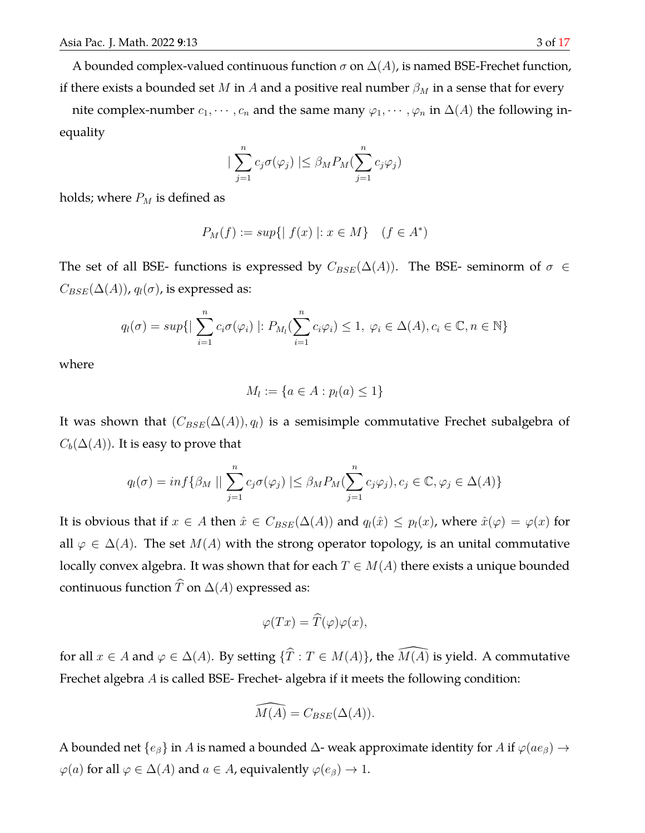A bounded complex-valued continuous function  $\sigma$  on  $\Delta(A)$ , is named BSE-Frechet function, if there exists a bounded set M in A and a positive real number  $\beta_M$  in a sense that for every

nite complex-number  $c_1, \dots, c_n$  and the same many  $\varphi_1, \dots, \varphi_n$  in  $\Delta(A)$  the following inequality

$$
\sum_{j=1}^{n} c_j \sigma(\varphi_j) \leq \beta_M P_M(\sum_{j=1}^{n} c_j \varphi_j)
$$

|

holds; where  $P_M$  is defined as

$$
P_M(f) := \sup\{|f(x)| : x \in M\} \quad (f \in A^*)
$$

The set of all BSE- functions is expressed by  $C_{BSE}(\Delta(A))$ . The BSE- seminorm of  $\sigma \in$  $C_{BSE}(\Delta(A))$ ,  $q_l(\sigma)$ , is expressed as:

$$
q_l(\sigma) = \sup\{|\sum_{i=1}^n c_i \sigma(\varphi_i)|: P_{M_l}(\sum_{i=1}^n c_i \varphi_i) \leq 1, \ \varphi_i \in \Delta(A), c_i \in \mathbb{C}, n \in \mathbb{N}\}\
$$

where

$$
M_l := \{ a \in A : p_l(a) \le 1 \}
$$

It was shown that  $(C_{BSE}(\Delta(A)), q_i)$  is a semisimple commutative Frechet subalgebra of  $C_b(\Delta(A))$ . It is easy to prove that

$$
q_l(\sigma) = \inf \{ \beta_M \mid \mid \sum_{j=1}^n c_j \sigma(\varphi_j) \mid \leq \beta_M P_M(\sum_{j=1}^n c_j \varphi_j), c_j \in \mathbb{C}, \varphi_j \in \Delta(A) \}
$$

It is obvious that if  $x \in A$  then  $\hat{x} \in C_{BSE}(\Delta(A))$  and  $q_l(\hat{x}) \leq p_l(x)$ , where  $\hat{x}(\varphi) = \varphi(x)$  for all  $\varphi \in \Delta(A)$ . The set  $M(A)$  with the strong operator topology, is an unital commutative locally convex algebra. It was shown that for each  $T \in M(A)$  there exists a unique bounded continuous function  $\widehat{T}$  on  $\Delta(A)$  expressed as:

$$
\varphi(Tx) = \widehat{T}(\varphi)\varphi(x),
$$

for all  $x \in A$  and  $\varphi \in \Delta(A)$ . By setting  $\{\widehat{T} : T \in M(A)\}\)$ , the  $\widehat{M(A)}$  is yield. A commutative Frechet algebra A is called BSE- Frechet- algebra if it meets the following condition:

$$
\widehat{M(A)} = C_{BSE}(\Delta(A)).
$$

A bounded net  $\{e_\beta\}$  in A is named a bounded  $\Delta$ - weak approximate identity for A if  $\varphi(ae_\beta) \to$  $\varphi(a)$  for all  $\varphi \in \Delta(A)$  and  $a \in A$ , equivalently  $\varphi(e_{\beta}) \to 1$ .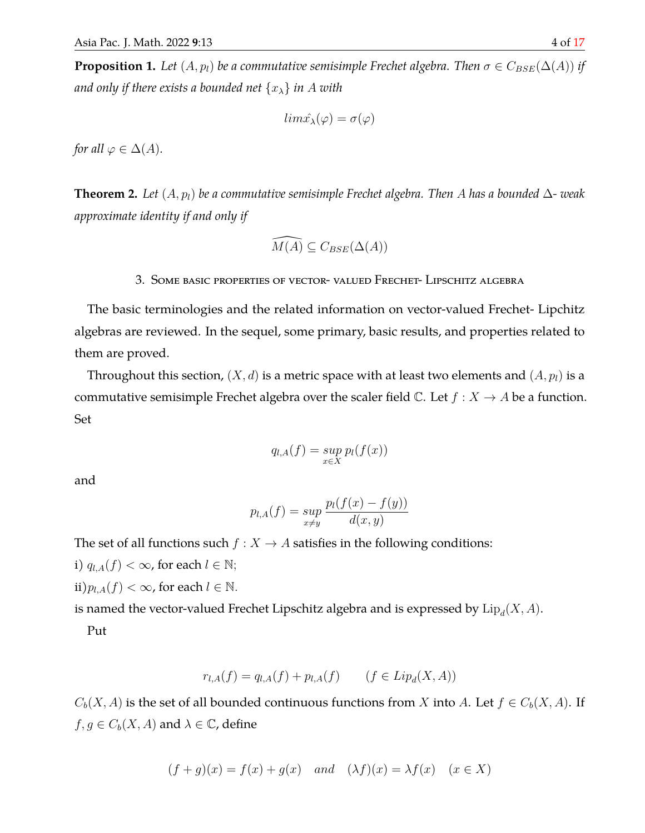**Proposition 1.** Let  $(A, p)$  be a commutative semisimple Frechet algebra. Then  $\sigma \in C_{BSE}(\Delta(A))$  if *and only if there exists a bounded net*  $\{x_{\lambda}\}\$  *in* A *with* 

$$
lim \hat{x}_{\lambda}(\varphi) = \sigma(\varphi)
$$

*for all*  $\varphi \in \Delta(A)$ *.* 

<span id="page-3-0"></span>**Theorem 2.** Let  $(A, p_i)$  be a commutative semisimple Frechet algebra. Then A has a bounded  $\Delta$ - weak *approximate identity if and only if*

$$
\widehat{M(A)} \subseteq C_{BSE}(\Delta(A))
$$

3. Some basic properties of vector- valued Frechet- Lipschitz algebra

The basic terminologies and the related information on vector-valued Frechet- Lipchitz algebras are reviewed. In the sequel, some primary, basic results, and properties related to them are proved.

Throughout this section,  $(X, d)$  is a metric space with at least two elements and  $(A, p<sub>l</sub>)$  is a commutative semisimple Frechet algebra over the scaler field  $\mathbb{C}$ . Let  $f : X \to A$  be a function. Set

$$
q_{l,A}(f) = \sup_{x \in X} p_l(f(x))
$$

and

$$
p_{l,A}(f) = \sup_{x \neq y} \frac{p_l(f(x) - f(y))}{d(x,y)}
$$

The set of all functions such  $f : X \to A$  satisfies in the following conditions:

i)  $q_{l,A}(f) < \infty$ , for each  $l \in \mathbb{N}$ ;

ii) $p_{l,A}(f) < \infty$ , for each  $l \in \mathbb{N}$ .

is named the vector-valued Frechet Lipschitz algebra and is expressed by  $\mathrm{Lip}_d(X,A).$ 

Put

$$
r_{l,A}(f) = q_{l,A}(f) + p_{l,A}(f) \qquad (f \in Lip_d(X, A))
$$

 $C_b(X, A)$  is the set of all bounded continuous functions from X into A. Let  $f \in C_b(X, A)$ . If  $f, g \in C_b(X, A)$  and  $\lambda \in \mathbb{C}$ , define

$$
(f+g)(x) = f(x) + g(x)
$$
 and  $(\lambda f)(x) = \lambda f(x)$   $(x \in X)$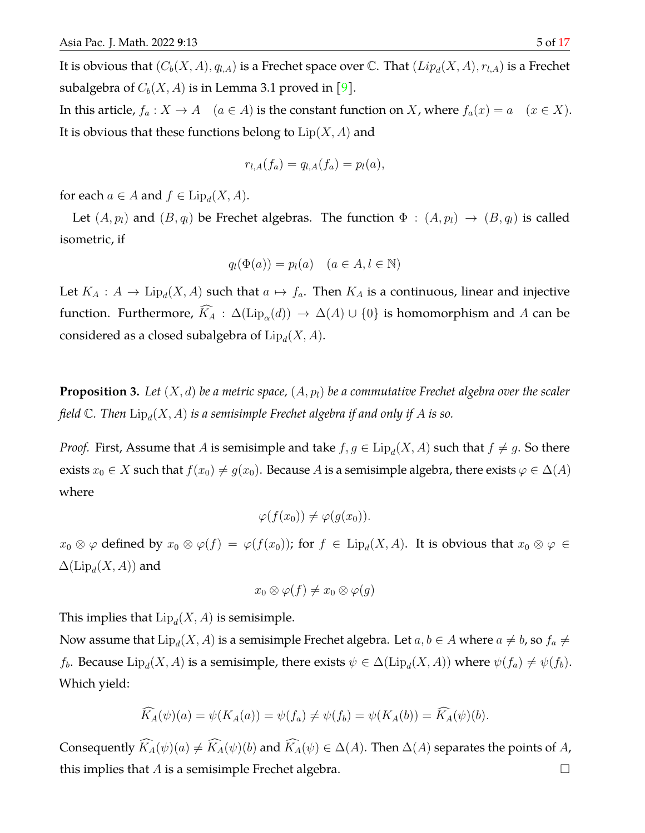It is obvious that  $(C_b(X, A), q_{l, A})$  is a Frechet space over  $\mathbb C$ . That  $(Lip_d(X, A), r_{l, A})$  is a Frechet subalgebra of  $C_b(X, A)$  is in Lemma 3.1 proved in [\[9\]](#page-16-13).

In this article,  $f_a: X \to A \quad (a \in A)$  is the constant function on X, where  $f_a(x) = a \quad (x \in X)$ . It is obvious that these functions belong to  $Lip(X, A)$  and

$$
r_{l,A}(f_a) = q_{l,A}(f_a) = p_l(a),
$$

for each  $a \in A$  and  $f \in \text{Lip}_d(X, A)$ .

Let  $(A, p_l)$  and  $(B, q_l)$  be Frechet algebras. The function  $\Phi : (A, p_l) \rightarrow (B, q_l)$  is called isometric, if

$$
q_l(\Phi(a)) = p_l(a) \quad (a \in A, l \in \mathbb{N})
$$

Let  $K_A: A \to \mathrm{Lip}_d(X, A)$  such that  $a \mapsto f_a$ . Then  $K_A$  is a continuous, linear and injective function. Furthermore,  $K_A$ :  $\Delta(\text{Lip}_{\alpha}(d)) \rightarrow \Delta(A) \cup \{0\}$  is homomorphism and A can be considered as a closed subalgebra of  $\mathrm{Lip}_d(X,A).$ 

<span id="page-4-0"></span>**Proposition 3.** *Let*  $(X, d)$  *be a metric space,*  $(A, p<sub>l</sub>)$  *be a commutative Frechet algebra over the scaler* field  $\mathbb C$ . Then  $\mathrm{Lip}_d(X,A)$  is a semisimple Frechet algebra if and only if  $A$  is so.

*Proof.* First, Assume that A is semisimple and take  $f, g \in \mathrm{Lip}_d(X, A)$  such that  $f \neq g$ . So there exists  $x_0 \in X$  such that  $f(x_0) \neq g(x_0)$ . Because A is a semisimple algebra, there exists  $\varphi \in \Delta(A)$ where

$$
\varphi(f(x_0)) \neq \varphi(g(x_0)).
$$

 $x_0\otimes\varphi$  defined by  $x_0\otimes\varphi(f)=\varphi(f(x_0))$ ; for  $f\,\in\,{\rm Lip}_d(X,A).$  It is obvious that  $x_0\otimes\varphi\,\in\,$  $\Delta(\mathrm{Lip}_d(X,A))$  and

$$
x_0\otimes \varphi(f)\neq x_0\otimes \varphi(g)
$$

This implies that  $\mathrm{Lip}_d(X,A)$  is semisimple.

Now assume that  ${\rm Lip}_d(X,A)$  is a semisimple Frechet algebra. Let  $a,b\in A$  where  $a\neq b$ , so  $f_a\neq b$  $f_b$ . Because  $\mathrm{Lip}_d(X, A)$  is a semisimple, there exists  $\psi \in \Delta(\mathrm{Lip}_d(X, A))$  where  $\psi(f_a) \neq \psi(f_b)$ . Which yield:

$$
\widehat{K}_A(\psi)(a) = \psi(K_A(a)) = \psi(f_a) \neq \psi(f_b) = \psi(K_A(b)) = \widehat{K}_A(\psi)(b).
$$

Consequently  $\widehat{K}_A(\psi)(a) \neq \widehat{K}_A(\psi)(b)$  and  $\widehat{K}_A(\psi) \in \Delta(A)$ . Then  $\Delta(A)$  separates the points of A, this implies that A is a semisimple Frechet algebra.  $\Box$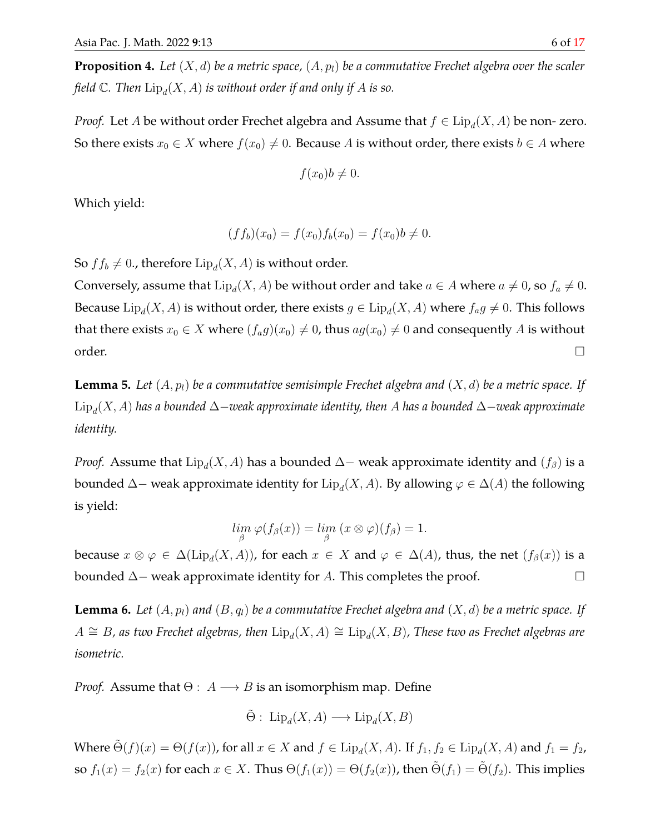**Proposition 4.** Let  $(X, d)$  be a metric space,  $(A, p<sub>l</sub>)$  be a commutative Frechet algebra over the scaler field  $\mathbb C$ . Then  $\mathrm{Lip}_d(X,A)$  is without order if and only if  $A$  is so.

*Proof.* Let A be without order Frechet algebra and Assume that  $f \in \text{Lip}_d(X, A)$  be non-zero. So there exists  $x_0 \in X$  where  $f(x_0) \neq 0$ . Because A is without order, there exists  $b \in A$  where

$$
f(x_0)b \neq 0.
$$

Which yield:

$$
(f f_b)(x_0) = f(x_0) f_b(x_0) = f(x_0)b \neq 0.
$$

So  $ff_b \neq 0$ ., therefore  $\mathrm{Lip}_d(X,A)$  is without order.

Conversely, assume that  $\mathrm{Lip}_d(X,A)$  be without order and take  $a\in A$  where  $a\neq 0$ , so  $f_a\neq 0$ . Because  ${\rm Lip}_d(X,A)$  is without order, there exists  $g\in {\rm Lip}_d(X,A)$  where  $f_a g\neq 0.$  This follows that there exists  $x_0 \in X$  where  $(f_a g)(x_0) \neq 0$ , thus  $ag(x_0) \neq 0$  and consequently A is without  $\Box$ order.

<span id="page-5-0"></span>**Lemma 5.** Let  $(A, p_i)$  be a commutative semisimple Frechet algebra and  $(X, d)$  be a metric space. If Lip<sup>d</sup> (X, A) *has a bounded* ∆−*weak approximate identity, then* A *has a bounded* ∆−*weak approximate identity.*

*Proof.* Assume that  $\mathrm{Lip}_d(X, A)$  has a bounded  $\Delta$ − weak approximate identity and  $(f_\beta)$  is a bounded  $\Delta-$  weak approximate identity for  $\mathrm{Lip}_d(X,A).$  By allowing  $\varphi\in\Delta(A)$  the following is yield:

$$
\lim_{\beta} \varphi(f_{\beta}(x)) = \lim_{\beta} (x \otimes \varphi)(f_{\beta}) = 1.
$$

because  $x\otimes \varphi\,\in\, \Delta({\rm Lip}_d(X,A))$ , for each  $x\,\in\, X$  and  $\varphi\,\in\, \Delta(A)$ , thus, the net  $(f_\beta(x))$  is a bounded  $\Delta$ − weak approximate identity for A. This completes the proof.  $\Box$ 

**Lemma 6.** Let  $(A, p_l)$  and  $(B, q_l)$  be a commutative Frechet algebra and  $(X, d)$  be a metric space. If  $A ≌ B$ , as two Frechet algebras, then  $\mathrm{Lip}_d(X, A) ≅ \mathrm{Lip}_d(X, B)$ , These two as Frechet algebras are *isometric.*

*Proof.* Assume that  $\Theta: A \longrightarrow B$  is an isomorphism map. Define

$$
\tilde{\Theta}:\; \mathrm{Lip}_d(X,A)\longrightarrow \mathrm{Lip}_d(X,B)
$$

Where  $\tilde{\Theta}(f)(x) = \Theta(f(x))$ , for all  $x \in X$  and  $f \in Lip_d(X, A)$ . If  $f_1, f_2 \in Lip_d(X, A)$  and  $f_1 = f_2$ , so  $f_1(x) = f_2(x)$  for each  $x \in X$ . Thus  $\Theta(f_1(x)) = \Theta(f_2(x))$ , then  $\tilde{\Theta}(f_1) = \tilde{\Theta}(f_2)$ . This implies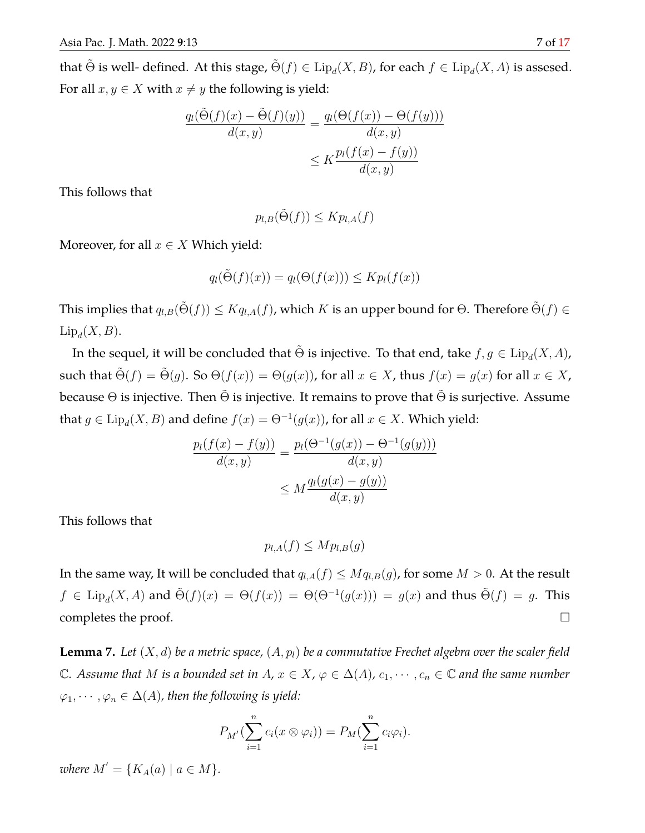that  $\tilde{\Theta}$  is well- defined. At this stage,  $\tilde{\Theta}(f) \in \mathrm{Lip}_d(X,B)$ , for each  $f \in \mathrm{Lip}_d(X,A)$  is assesed. For all  $x, y \in X$  with  $x \neq y$  the following is yield:

$$
\frac{q_l(\tilde{\Theta}(f)(x) - \tilde{\Theta}(f)(y))}{d(x, y)} = \frac{q_l(\Theta(f(x)) - \Theta(f(y)))}{d(x, y)}
$$

$$
\leq K \frac{p_l(f(x) - f(y))}{d(x, y)}
$$

This follows that

$$
p_{l,B}(\tilde{\Theta}(f)) \le K p_{l,A}(f)
$$

Moreover, for all  $x \in X$  Which yield:

$$
q_l(\tilde{\Theta}(f)(x)) = q_l(\Theta(f(x))) \le K p_l(f(x))
$$

This implies that  $q_{l,B}(\tilde{\Theta}(f)) \leq Kq_{l,A}(f)$ , which K is an upper bound for  $\Theta$ . Therefore  $\tilde{\Theta}(f) \in$  $\mathrm{Lip}_d(X,B).$ 

In the sequel, it will be concluded that  $\tilde{\Theta}$  is injective. To that end, take  $f,g\in \mathrm{Lip}_d(X,A)$ , such that  $\tilde{\Theta}(f) = \tilde{\Theta}(g)$ . So  $\Theta(f(x)) = \Theta(g(x))$ , for all  $x \in X$ , thus  $f(x) = g(x)$  for all  $x \in X$ , because  $\Theta$  is injective. Then  $\tilde{\Theta}$  is injective. It remains to prove that  $\tilde{\Theta}$  is surjective. Assume that  $g \in \text{Lip}_d(X, B)$  and define  $f(x) = \Theta^{-1}(g(x))$ , for all  $x \in X$ . Which yield:

$$
\frac{p_l(f(x) - f(y))}{d(x, y)} = \frac{p_l(\Theta^{-1}(g(x)) - \Theta^{-1}(g(y)))}{d(x, y)}
$$

$$
\leq M \frac{q_l(g(x) - g(y))}{d(x, y)}
$$

This follows that

 $p_{l,A}(f) \leq M p_{l,B}(q)$ 

In the same way, It will be concluded that  $q_{l,A}(f) \leq M q_{l,B}(g)$ , for some  $M > 0$ . At the result  $f \in \mathrm{Lip}_d(X,A)$  and  $\tilde{\Theta}(f)(x) = \Theta(f(x)) = \Theta(\Theta^{-1}(g(x))) = g(x)$  and thus  $\tilde{\Theta}(f) = g$ . This completes the proof.  $\Box$ 

**Lemma 7.** Let  $(X, d)$  be a metric space,  $(A, p<sub>l</sub>)$  be a commutative Frechet algebra over the scaler field  $\mathbb C$ *. Assume that* M *is a bounded set in A,*  $x \in X$ ,  $\varphi \in \Delta(A)$ ,  $c_1, \dots, c_n \in \mathbb C$  and the same number  $\varphi_1, \cdots, \varphi_n \in \Delta(A)$ , then the following is yield:

$$
P_{M'}\left(\sum_{i=1}^n c_i(x\otimes\varphi_i)\right)=P_M\left(\sum_{i=1}^n c_i\varphi_i\right).
$$

*where*  $M' = \{K_A(a) | a \in M\}$ *.*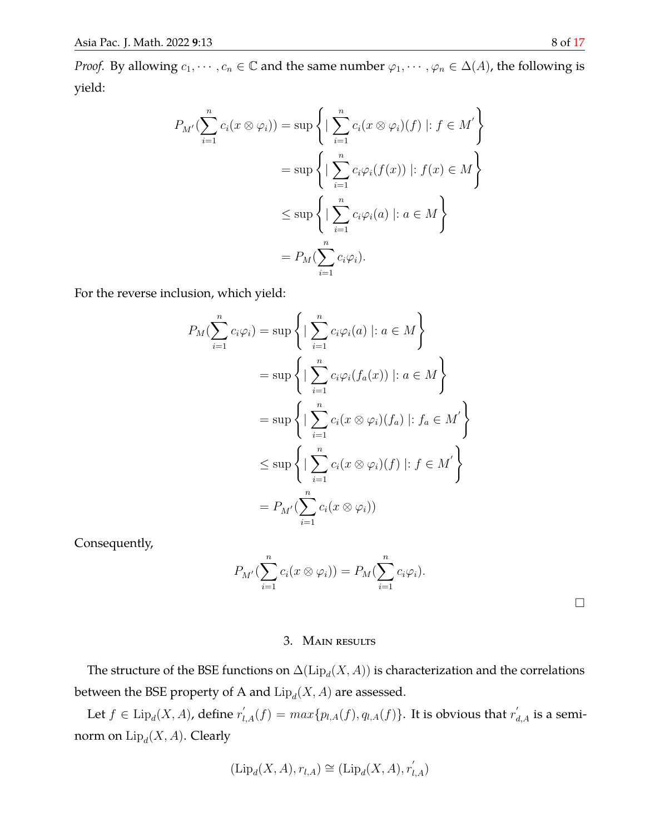*Proof.* By allowing  $c_1, \dots, c_n \in \mathbb{C}$  and the same number  $\varphi_1, \dots, \varphi_n \in \Delta(A)$ , the following is yield:

$$
P_{M'}(\sum_{i=1}^{n} c_i(x \otimes \varphi_i)) = \sup \left\{ |\sum_{i=1}^{n} c_i(x \otimes \varphi_i)(f)| : f \in M' \right\}
$$
  

$$
= \sup \left\{ |\sum_{i=1}^{n} c_i \varphi_i(f(x))| : f(x) \in M \right\}
$$
  

$$
\leq \sup \left\{ |\sum_{i=1}^{n} c_i \varphi_i(a)| : a \in M \right\}
$$
  

$$
= P_M(\sum_{i=1}^{n} c_i \varphi_i).
$$

For the reverse inclusion, which yield:

$$
P_M(\sum_{i=1}^n c_i \varphi_i) = \sup \left\{ |\sum_{i=1}^n c_i \varphi_i(a)| : a \in M \right\}
$$
  

$$
= \sup \left\{ |\sum_{i=1}^n c_i \varphi_i(f_a(x))| : a \in M \right\}
$$
  

$$
= \sup \left\{ |\sum_{i=1}^n c_i(x \otimes \varphi_i)(f_a)| : f_a \in M' \right\}
$$
  

$$
\leq \sup \left\{ |\sum_{i=1}^n c_i(x \otimes \varphi_i)(f)| : f \in M' \right\}
$$
  

$$
= P_{M'}(\sum_{i=1}^n c_i(x \otimes \varphi_i))
$$

Consequently,

$$
P_{M'}\left(\sum_{i=1}^n c_i(x\otimes\varphi_i)\right)=P_M\left(\sum_{i=1}^n c_i\varphi_i\right).
$$

 $\Box$ 

## 3. Main results

The structure of the BSE functions on  $\Delta(\mathrm{Lip}_d(X,A))$  is characterization and the correlations between the BSE property of A and  ${\rm Lip}_d(X,A)$  are assessed.

Let  $f\in \mathrm{Lip}_d(X,A)$ , define  $r'_{l,A}(f)=max\{p_{l,A}(f),q_{l,A}(f)\}.$  It is obvious that  $r'_{d,A}$  is a seminorm on  $\mathrm{Lip}_d(X,A)$ . Clearly

$$
(\mathrm{Lip}_d(X,A),r_{l,A})\cong(\mathrm{Lip}_d(X,A),r_{l,A}')
$$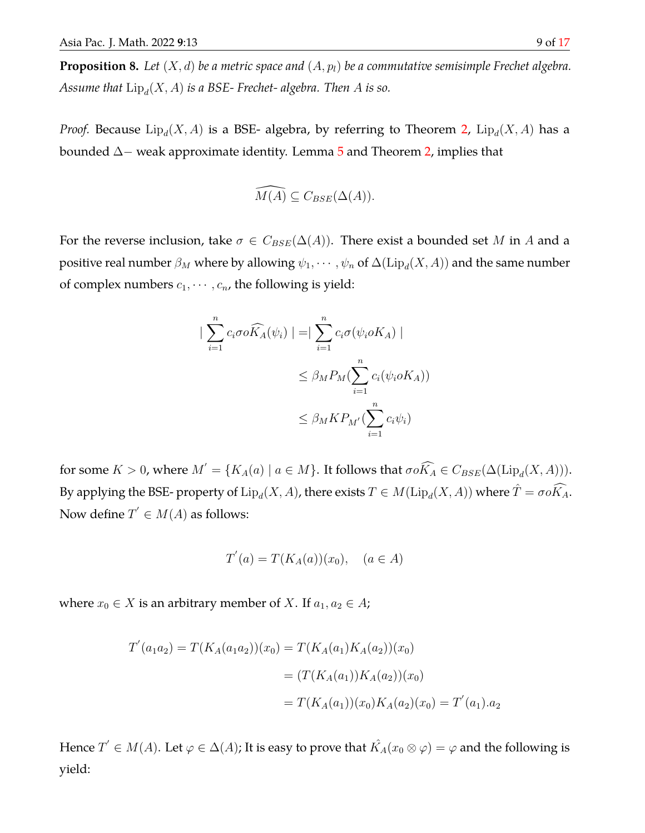<span id="page-8-0"></span>**Proposition 8.** *Let*  $(X, d)$  *be a metric space and*  $(A, p<sub>l</sub>)$  *be a commutative semisimple Frechet algebra.* Assume that  $\mathrm{Lip}_d(X,A)$  is a BSE- Frechet- algebra. Then  $A$  is so.

*Proof.* Because  $\mathrm{Lip}_d(X, A)$  is a BSE- algebra, by referring to Theorem [2,](#page-3-0)  $\mathrm{Lip}_d(X, A)$  has a bounded ∆− weak approximate identity. Lemma [5](#page-5-0) and Theorem [2,](#page-3-0) implies that

$$
\widehat{M(A)} \subseteq C_{BSE}(\Delta(A)).
$$

For the reverse inclusion, take  $\sigma \in C_{BSE}(\Delta(A))$ . There exist a bounded set M in A and a positive real number  $\beta_M$  where by allowing  $\psi_1,\cdots,\psi_n$  of  $\Delta({\rm Lip}_d(X,A))$  and the same number of complex numbers  $c_1, \dots, c_n$ , the following is yield:

$$
\begin{aligned} \left| \sum_{i=1}^{n} c_i \sigma o \widehat{K}_A(\psi_i) \right| &= \left| \sum_{i=1}^{n} c_i \sigma(\psi_i o K_A) \right| \\ &\leq \beta_M P_M(\sum_{i=1}^{n} c_i(\psi_i o K_A)) \\ &\leq \beta_M K P_{M'}(\sum_{i=1}^{n} c_i \psi_i) \end{aligned}
$$

for some  $K > 0$ , where  $M' = \{K_A(a) \mid a \in M\}$ . It follows that  $\sigma \circ \widehat{K_A} \in C_{BSE}(\Delta(\text{Lip}_d(X, A))).$ By applying the BSE- property of  $\mathrm{Lip}_d(X,A)$ , there exists  $T\in M(\mathrm{Lip}_d(X,A))$  where  $\hat T=\sigma o\widehat{K_A}.$ Now define  $T^{'} \in M(A)$  as follows:

$$
T'(a) = T(K_A(a))(x_0), \quad (a \in A)
$$

where  $x_0 \in X$  is an arbitrary member of X. If  $a_1, a_2 \in A$ ;

$$
T'(a_1a_2) = T(K_A(a_1a_2))(x_0) = T(K_A(a_1)K_A(a_2))(x_0)
$$
  
= 
$$
(T(K_A(a_1))K_A(a_2))(x_0)
$$
  
= 
$$
T(K_A(a_1))(x_0)K_A(a_2)(x_0) = T'(a_1).a_2
$$

Hence  $T'\in M(A).$  Let  $\varphi\in \Delta(A);$  It is easy to prove that  $\hat{K_A}(x_0\otimes \varphi)=\varphi$  and the following is yield: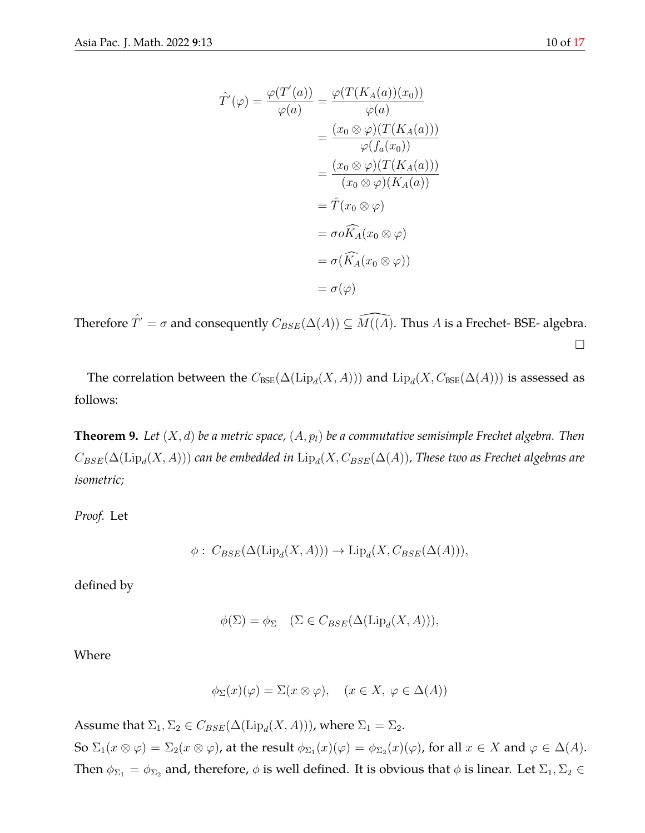$$
\hat{T}'(\varphi) = \frac{\varphi(T'(a))}{\varphi(a)} = \frac{\varphi(T(K_A(a))(x_0))}{\varphi(a)}
$$

$$
= \frac{(x_0 \otimes \varphi)(T(K_A(a)))}{\varphi(f_a(x_0))}
$$

$$
= \frac{(x_0 \otimes \varphi)(T(K_A(a)))}{(x_0 \otimes \varphi)(K_A(a))}
$$

$$
= \hat{T}(x_0 \otimes \varphi)
$$

$$
= \sigma \circ \widehat{K}_A(x_0 \otimes \varphi)
$$

$$
= \sigma(\widehat{K}_A(x_0 \otimes \varphi))
$$

$$
= \sigma(\varphi)
$$

Therefore  $\hat{T}' = \sigma$  and consequently  $C_{BSE}(\Delta(A)) \subseteq \widehat{M((A)}$ . Thus A is a Frechet- BSE- algebra.  $\Box$ 

The correlation between the  $C_{\text{BSE}}(\Delta({\rm Lip}_d(X,A)))$  and  ${\rm Lip}_d(X,C_{\text{BSE}}(\Delta(A)))$  is assessed as follows:

<span id="page-9-0"></span>**Theorem 9.** Let  $(X, d)$  be a metric space,  $(A, p<sub>l</sub>)$  be a commutative semisimple Frechet algebra. Then  $C_{BSE}(\Delta({\rm Lip}_d(X,A)))$  can be embedded in  ${\rm Lip}_d(X,C_{BSE}(\Delta(A))$ , These two as Frechet algebras are *isometric;*

*Proof.* Let

$$
\phi: C_{BSE}(\Delta(\text{Lip}_d(X, A))) \to \text{Lip}_d(X, C_{BSE}(\Delta(A))),
$$

defined by

$$
\phi(\Sigma) = \phi_{\Sigma} \quad (\Sigma \in C_{BSE}(\Delta(\text{Lip}_{d}(X, A))),
$$

Where

$$
\phi_{\Sigma}(x)(\varphi) = \Sigma(x \otimes \varphi), \quad (x \in X, \ \varphi \in \Delta(A))
$$

Assume that  $\Sigma_1, \Sigma_2 \in C_{BSE}(\Delta(\mathrm{Lip}_d(X, A)))$ , where  $\Sigma_1 = \Sigma_2$ .

So  $\Sigma_1(x\otimes \varphi)=\Sigma_2(x\otimes \varphi)$ , at the result  $\phi_{\Sigma_1}(x)(\varphi)=\phi_{\Sigma_2}(x)(\varphi)$ , for all  $x\in X$  and  $\varphi\in\Delta(A).$ Then  $\phi_{\Sigma_1} = \phi_{\Sigma_2}$  and, therefore,  $\phi$  is well defined. It is obvious that  $\phi$  is linear. Let  $\Sigma_1, \Sigma_2 \in$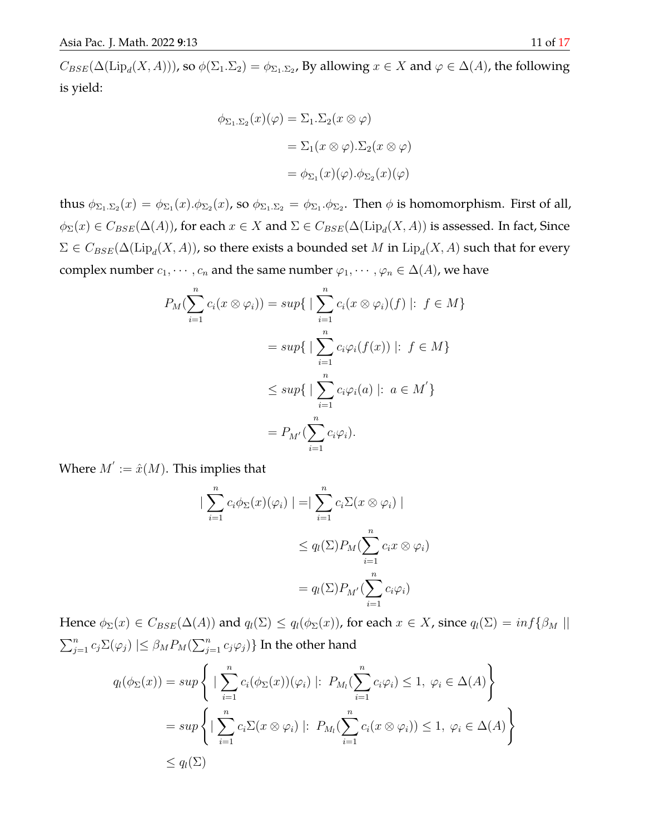$C_{BSE}(\Delta({\rm Lip}_d(X,A))),$  so  $\phi(\Sigma_1.\Sigma_2)=\phi_{\Sigma_1.\Sigma_2}$ , By allowing  $x\in X$  and  $\varphi\in\Delta(A)$ , the following is yield:

$$
\phi_{\Sigma_1,\Sigma_2}(x)(\varphi) = \Sigma_1.\Sigma_2(x \otimes \varphi)
$$

$$
= \Sigma_1(x \otimes \varphi).\Sigma_2(x \otimes \varphi)
$$

$$
= \phi_{\Sigma_1}(x)(\varphi).\phi_{\Sigma_2}(x)(\varphi)
$$

thus  $\phi_{\Sigma_1,\Sigma_2}(x)=\phi_{\Sigma_1}(x). \phi_{\Sigma_2}(x)$ , so  $\phi_{\Sigma_1,\Sigma_2}=\phi_{\Sigma_1}.\phi_{\Sigma_2}.$  Then  $\phi$  is homomorphism. First of all,  $\phi_\Sigma(x)\in C_{BSE}(\Delta(A))$ , for each  $x\in X$  and  $\Sigma\in C_{BSE}(\Delta({\rm Lip}_d(X,A))$  is assessed. In fact, Since  $\Sigma\in C_{BSE}(\Delta({\rm Lip}_d(X,A))$ , so there exists a bounded set  $M$  in  ${\rm Lip}_d(X,A)$  such that for every complex number  $c_1, \dots, c_n$  and the same number  $\varphi_1, \dots, \varphi_n \in \Delta(A)$ , we have

$$
P_M(\sum_{i=1}^n c_i(x \otimes \varphi_i)) = \sup \{ \mid \sum_{i=1}^n c_i(x \otimes \varphi_i)(f) \mid : f \in M \}
$$
  

$$
= \sup \{ \mid \sum_{i=1}^n c_i \varphi_i(f(x)) \mid : f \in M \}
$$
  

$$
\leq \sup \{ \mid \sum_{i=1}^n c_i \varphi_i(a) \mid : a \in M' \}
$$
  

$$
= P_{M'}(\sum_{i=1}^n c_i \varphi_i).
$$

Where  $M^{'}:=\hat{x}(M).$  This implies that

$$
\begin{aligned} \left| \sum_{i=1}^{n} c_i \phi_{\Sigma}(x) (\varphi_i) \right| &= \left| \sum_{i=1}^{n} c_i \Sigma(x \otimes \varphi_i) \right| \\ &\le q_l(\Sigma) P_M(\sum_{i=1}^{n} c_i x \otimes \varphi_i) \\ &= q_l(\Sigma) P_{M'}(\sum_{i=1}^{n} c_i \varphi_i) \end{aligned}
$$

Hence  $\phi_{\Sigma}(x) \in C_{BSE}(\Delta(A))$  and  $q_l(\Sigma) \le q_l(\phi_{\Sigma}(x))$ , for each  $x \in X$ , since  $q_l(\Sigma) = inf\{\beta_M \mid \Gamma \in \mathcal{P}(X) \}$  $\sum_{j=1}^n c_j \Sigma(\varphi_j) \mid \leq \beta_M P_M(\sum_{j=1}^n c_j \varphi_j) \}$  In the other hand

$$
q_l(\phi_{\Sigma}(x)) = \sup \left\{ \left| \sum_{i=1}^n c_i(\phi_{\Sigma}(x))(\varphi_i) \right| : P_{M_l}(\sum_{i=1}^n c_i \varphi_i) \le 1, \ \varphi_i \in \Delta(A) \right\}
$$
  
= 
$$
\sup \left\{ \left| \sum_{i=1}^n c_i \Sigma(x \otimes \varphi_i) \right| : P_{M_l}(\sum_{i=1}^n c_i(x \otimes \varphi_i)) \le 1, \ \varphi_i \in \Delta(A) \right\}
$$
  

$$
\le q_l(\Sigma)
$$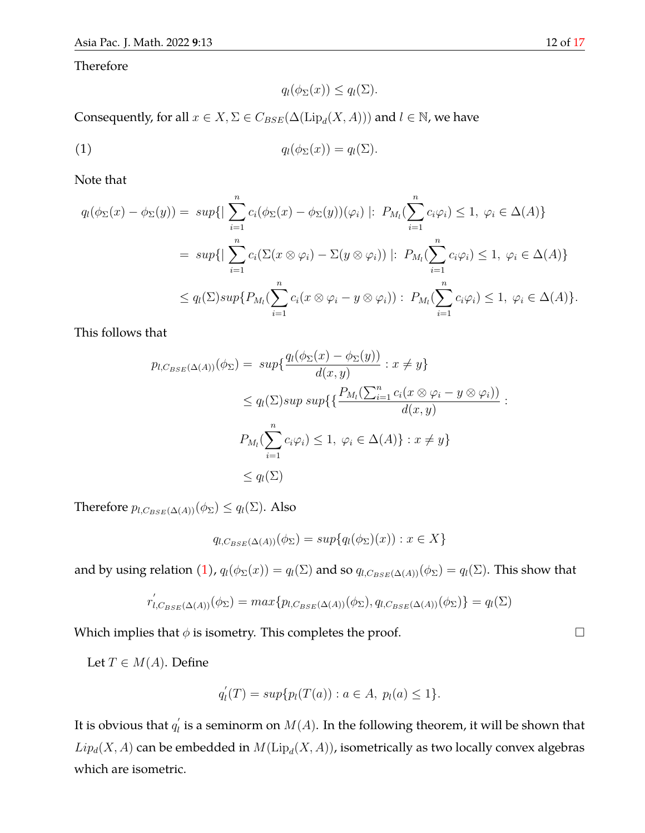Therefore

$$
q_l(\phi_{\Sigma}(x)) \le q_l(\Sigma).
$$

<span id="page-11-0"></span>Consequently, for all  $x \in X$ ,  $\Sigma \in C_{BSE}(\Delta(\mathrm{Lip}_d(X, A)))$  and  $l \in \mathbb{N}$ , we have

$$
(1) \t q_l(\phi_\Sigma(x)) = q_l(\Sigma).
$$

Note that

$$
q_l(\phi_{\Sigma}(x) - \phi_{\Sigma}(y)) = \sup \{ |\sum_{i=1}^n c_i(\phi_{\Sigma}(x) - \phi_{\Sigma}(y))(\varphi_i)| : P_{M_l}(\sum_{i=1}^n c_i \varphi_i) \le 1, \ \varphi_i \in \Delta(A) \}
$$
  

$$
= \sup \{ |\sum_{i=1}^n c_i(\Sigma(x \otimes \varphi_i) - \Sigma(y \otimes \varphi_i))| : P_{M_l}(\sum_{i=1}^n c_i \varphi_i) \le 1, \ \varphi_i \in \Delta(A) \}
$$
  

$$
\le q_l(\Sigma) \sup \{ P_{M_l}(\sum_{i=1}^n c_i(x \otimes \varphi_i - y \otimes \varphi_i)) : P_{M_l}(\sum_{i=1}^n c_i \varphi_i) \le 1, \ \varphi_i \in \Delta(A) \}.
$$

This follows that

$$
p_{l,C_{BSE}(\Delta(A))}(\phi_{\Sigma}) = \sup \{ \frac{q_l(\phi_{\Sigma}(x) - \phi_{\Sigma}(y))}{d(x,y)} : x \neq y \}
$$
  
\n
$$
\leq q_l(\Sigma) \sup \sup \{ \{ \frac{P_{M_l}(\sum_{i=1}^n c_i(x \otimes \varphi_i - y \otimes \varphi_i))}{d(x,y)} :
$$
  
\n
$$
P_{M_l}(\sum_{i=1}^n c_i \varphi_i) \leq 1, \ \varphi_i \in \Delta(A) \} : x \neq y \}
$$
  
\n
$$
\leq q_l(\Sigma)
$$

Therefore  $p_{l,C_{BSE}(\Delta(A))}(\phi_{\Sigma}) \leq q_{l}(\Sigma)$ . Also

$$
q_{l,C_{BSE}(\Delta(A))}(\phi_{\Sigma}) = \sup\{q_l(\phi_{\Sigma})(x)) : x \in X\}
$$

and by using relation [\(1\)](#page-11-0),  $q_l(\phi_\Sigma(x)) = q_l(\Sigma)$  and so  $q_{l,C_{BSE}(\Delta(A))}(\phi_\Sigma) = q_l(\Sigma)$ . This show that

$$
r'_{l,C_{BSE}(\Delta(A))}(\phi_{\Sigma}) = max\{p_{l,C_{BSE}(\Delta(A))}(\phi_{\Sigma}), q_{l,C_{BSE}(\Delta(A))}(\phi_{\Sigma})\} = q_{l}(\Sigma)
$$

Which implies that  $\phi$  is isometry. This completes the proof.  $\Box$ 

Let  $T \in M(A)$ . Define

$$
q'_l(T) = sup\{p_l(T(a)) : a \in A, \ p_l(a) \le 1\}.
$$

It is obvious that  $q_{l}^{^{\prime }}$  $\hat{h}_l$  is a seminorm on  $M(A).$  In the following theorem, it will be shown that  $Lip_d(X,A)$  can be embedded in  $M(\mathrm{Lip}_d(X,A))$ , isometrically as two locally convex algebras which are isometric.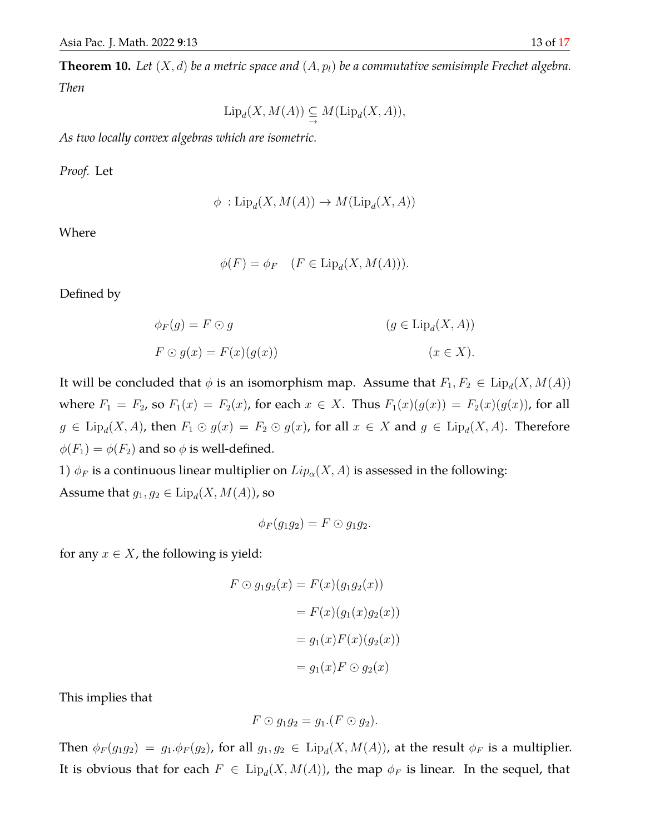<span id="page-12-0"></span>**Theorem 10.** Let  $(X, d)$  be a metric space and  $(A, p<sub>l</sub>)$  be a commutative semisimple Frechet algebra. *Then*

$$
\mathrm{Lip}_d(X, M(A)) \subseteq M(\mathrm{Lip}_d(X, A)),
$$

*As two locally convex algebras which are isometric.*

*Proof.* Let

$$
\phi : \text{Lip}_{d}(X, M(A)) \to M(\text{Lip}_{d}(X, A))
$$

Where

$$
\phi(F) = \phi_F \quad (F \in \text{Lip}_d(X, M(A))).
$$

Defined by

$$
\phi_F(g) = F \odot g \qquad (g \in \text{Lip}_d(X, A))
$$
  

$$
F \odot g(x) = F(x)(g(x)) \qquad (x \in X).
$$

It will be concluded that  $\phi$  is an isomorphism map. Assume that  $F_1, F_2 \in \text{Lip}_d(X, M(A))$ where  $F_1 = F_2$ , so  $F_1(x) = F_2(x)$ , for each  $x \in X$ . Thus  $F_1(x)(g(x)) = F_2(x)(g(x))$ , for all  $g \in \text{Lip}_d(X, A)$ , then  $F_1 \odot g(x) = F_2 \odot g(x)$ , for all  $x \in X$  and  $g \in \text{Lip}_d(X, A)$ . Therefore  $\phi(F_1) = \phi(F_2)$  and so  $\phi$  is well-defined.

1)  $\phi_F$  is a continuous linear multiplier on  $Lip_\alpha(X, A)$  is assessed in the following: Assume that  $g_1, g_2 \in \text{Lip}_d(X, M(A))$ , so

$$
\phi_F(g_1g_2)=F\odot g_1g_2.
$$

for any  $x \in X$ , the following is yield:

$$
F \odot g_1 g_2(x) = F(x)(g_1 g_2(x))
$$

$$
= F(x)(g_1(x)g_2(x))
$$

$$
= g_1(x)F(x)(g_2(x))
$$

$$
= g_1(x)F \odot g_2(x)
$$

This implies that

$$
F\odot g_1g_2=g_1.(F\odot g_2).
$$

Then  $\phi_F(g_1g_2) = g_1.\phi_F(g_2)$ , for all  $g_1, g_2 \in \mathrm{Lip}_d(X, M(A))$ , at the result  $\phi_F$  is a multiplier. It is obvious that for each  $F \in \mathrm{Lip}_d(X, M(A))$ , the map  $\phi_F$  is linear. In the sequel, that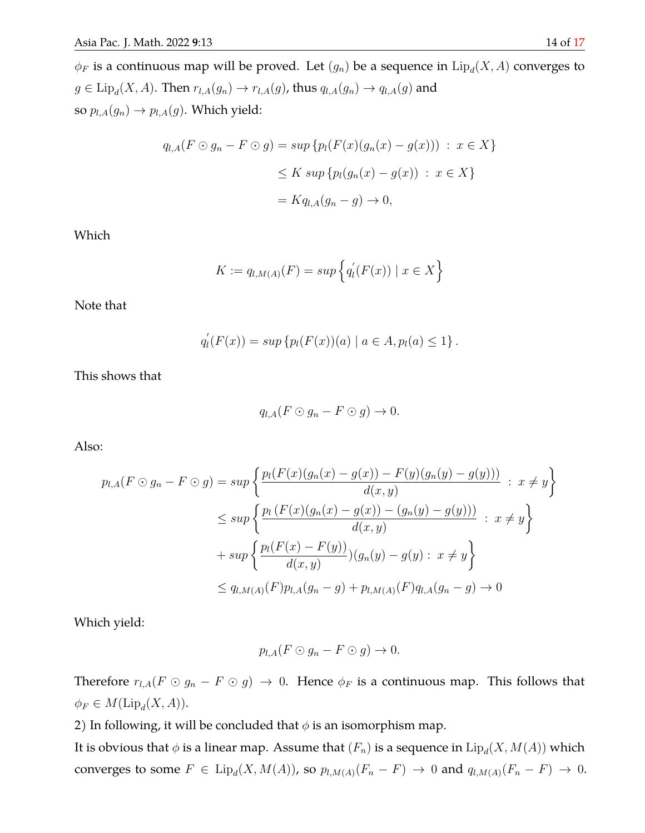$\phi_F$  is a continuous map will be proved. Let  $(g_n)$  be a sequence in  ${\rm Lip}_d(X,A)$  converges to  $g \in \mathrm{Lip}_d(X,A).$  Then  $r_{l,A}(g_n) \to r_{l,A}(g)$ , thus  $q_{l,A}(g_n) \to q_{l,A}(g)$  and so  $p_{l,A}(g_n)\rightarrow p_{l,A}(g).$  Which yield:

$$
q_{l,A}(F \odot g_n - F \odot g) = \sup \{p_l(F(x)(g_n(x) - g(x))) : x \in X\}
$$
  

$$
\leq K \sup \{p_l(g_n(x) - g(x)) : x \in X\}
$$
  

$$
= Kq_{l,A}(g_n - g) \rightarrow 0,
$$

Which

$$
K := q_{l,M(A)}(F) = \sup \{ q'_l(F(x)) \mid x \in X \}
$$

Note that

$$
q'_{l}(F(x)) = \sup \{ p_{l}(F(x))(a) \mid a \in A, p_{l}(a) \leq 1 \}.
$$

This shows that

$$
q_{l,A}(F\odot g_n-F\odot g)\rightarrow 0.
$$

Also:

$$
p_{l,A}(F \odot g_n - F \odot g) = \sup \left\{ \frac{p_l(F(x)(g_n(x) - g(x)) - F(y)(g_n(y) - g(y)))}{d(x,y)} : x \neq y \right\}
$$
  

$$
\leq \sup \left\{ \frac{p_l(F(x)(g_n(x) - g(x)) - (g_n(y) - g(y)))}{d(x,y)} : x \neq y \right\}
$$
  

$$
+ \sup \left\{ \frac{p_l(F(x) - F(y))}{d(x,y)} \right\} (g_n(y) - g(y) : x \neq y \right\}
$$
  

$$
\leq q_{l,M(A)}(F)p_{l,A}(g_n - g) + p_{l,M(A)}(F)q_{l,A}(g_n - g) \to 0
$$

Which yield:

$$
p_{l,A}(F\odot g_n-F\odot g)\rightarrow 0.
$$

Therefore  $r_{l,A}(F \odot g_n - F \odot g) \rightarrow 0$ . Hence  $\phi_F$  is a continuous map. This follows that  $\phi_F \in M(\mathrm{Lip}_d(X,A)).$ 

2) In following, it will be concluded that  $\phi$  is an isomorphism map.

It is obvious that  $\phi$  is a linear map. Assume that  $(F_n)$  is a sequence in  ${\rm Lip}_d(X, M(A))$  which converges to some  $F \in \text{Lip}_d(X, M(A))$ , so  $p_{l,M(A)}(F_n - F) \to 0$  and  $q_{l,M(A)}(F_n - F) \to 0$ .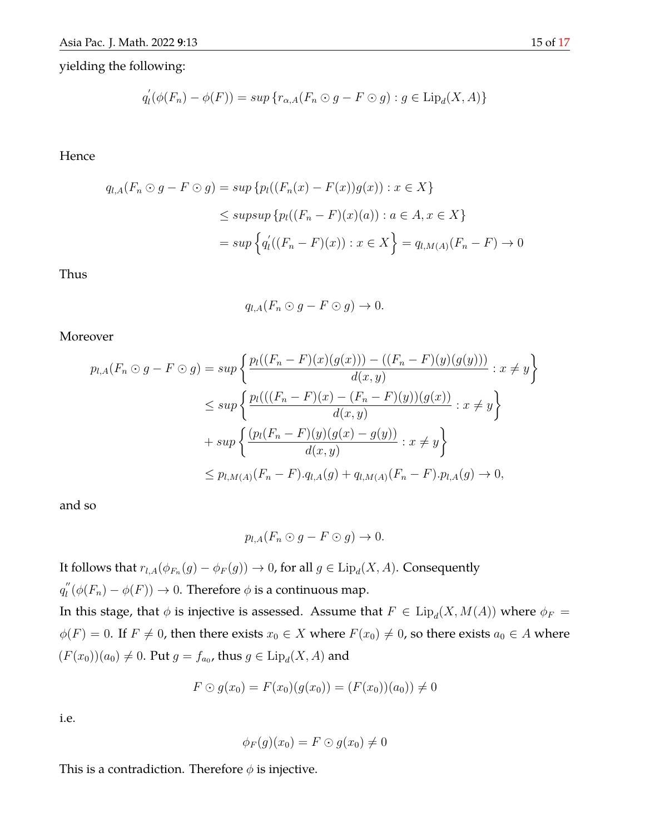yielding the following:

$$
q'_l(\phi(F_n) - \phi(F)) = \sup \{ r_{\alpha,A}(F_n \odot g - F \odot g) : g \in \text{Lip}_d(X, A) \}
$$

Hence

$$
q_{l,A}(F_n \odot g - F \odot g) = \sup \{p_l((F_n(x) - F(x))g(x)) : x \in X\}
$$
  

$$
\leq \sup \{p_l((F_n - F)(x)(a)) : a \in A, x \in X\}
$$
  

$$
= \sup \{q'_l((F_n - F)(x)) : x \in X\} = q_{l,M(A)}(F_n - F) \to 0
$$

Thus

$$
q_{l,A}(F_n \odot g - F \odot g) \rightarrow 0.
$$

Moreover

$$
p_{l,A}(F_n \odot g - F \odot g) = \sup \left\{ \frac{p_l((F_n - F)(x)(g(x)) - ((F_n - F)(y)(g(y)))}{d(x,y)} : x \neq y \right\}
$$
  

$$
\leq \sup \left\{ \frac{p_l(((F_n - F)(x) - (F_n - F)(y))(g(x))}{d(x,y)} : x \neq y \right\}
$$
  

$$
+ \sup \left\{ \frac{(p_l(F_n - F)(y)(g(x) - g(y))}{d(x,y)} : x \neq y \right\}
$$
  

$$
\leq p_{l,M(A)}(F_n - F) \cdot q_{l,A}(g) + q_{l,M(A)}(F_n - F) \cdot p_{l,A}(g) \to 0,
$$

and so

$$
p_{l,A}(F_n \odot g - F \odot g) \rightarrow 0.
$$

It follows that  $r_{l,A}(\phi_{F_n}(g)-\phi_F(g))\to 0$ , for all  $g\in \mathrm{Lip}_d(X,A).$  Consequently  $q_l''$  $\ell_l^{\prime\prime}(\phi(F_n)-\phi(F))\rightarrow 0.$  Therefore  $\phi$  is a continuous map.

In this stage, that  $\phi$  is injective is assessed. Assume that  $F\,\in\,{\rm Lip}_d(X,M(A))$  where  $\phi_F=$  $\phi(F) = 0$ . If  $F \neq 0$ , then there exists  $x_0 \in X$  where  $F(x_0) \neq 0$ , so there exists  $a_0 \in A$  where  $(F(x_0))(a_0) \neq 0$ . Put  $g = f_{a_0}$ , thus  $g \in \text{Lip}_d(X, A)$  and

$$
F \odot g(x_0) = F(x_0)(g(x_0)) = (F(x_0))(a_0)) \neq 0
$$

i.e.

$$
\phi_F(g)(x_0) = F \odot g(x_0) \neq 0
$$

This is a contradiction. Therefore  $\phi$  is injective.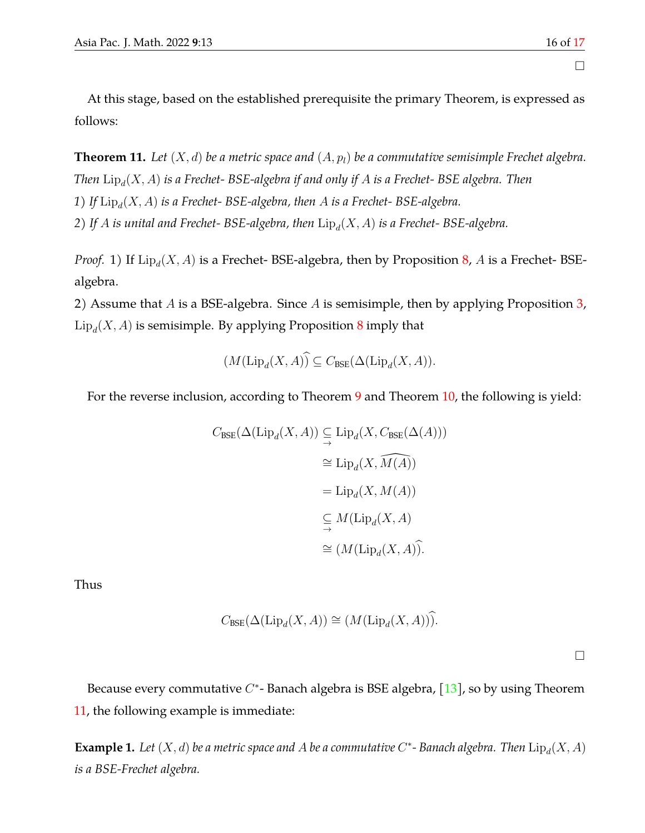<span id="page-15-0"></span>**Theorem 11.** Let  $(X, d)$  be a metric space and  $(A, p<sub>l</sub>)$  be a commutative semisimple Frechet algebra. Then  $\mathrm{Lip}_d(X,A)$  is a Frechet- BSE-algebra if and only if  $A$  is a Frechet- BSE algebra. Then 1) If  $\mathrm{Lip}_d(X,A)$  is a Frechet- BSE-algebra, then  $A$  is a Frechet- BSE-algebra. 2) If  $A$  is unital and Frechet- BSE-algebra, then  $\mathrm{Lip}_d(X,A)$  is a Frechet- BSE-algebra.

*Proof.* 1) If  $\text{Lip}_{d}(X, A)$  is a Frechet- BSE-algebra, then by Proposition [8,](#page-8-0) A is a Frechet- BSEalgebra.

2) Assume that A is a BSE-algebra. Since A is semisimple, then by applying Proposition [3,](#page-4-0)  $\mathrm{Lip}_d(X,A)$  is semisimple. By applying Proposition  $8$  imply that

$$
(M(\mathrm{Lip}_d(X, A)) \subseteq C_{\mathrm{BSE}}(\Delta(\mathrm{Lip}_d(X, A)).
$$

For the reverse inclusion, according to Theorem [9](#page-9-0) and Theorem [10,](#page-12-0) the following is yield:

$$
C_{\text{BSE}}(\Delta(\text{Lip}_d(X, A)) \subseteq \text{Lip}_d(X, C_{\text{BSE}}(\Delta(A)))
$$
  
\n
$$
\cong \text{Lip}_d(X, \widehat{M(A)})
$$
  
\n
$$
= \text{Lip}_d(X, M(A))
$$
  
\n
$$
\subseteq M(\text{Lip}_d(X, A))
$$
  
\n
$$
\cong (M(\text{Lip}_d(X, A))).
$$

Thus

$$
C_{\text{BSE}}(\Delta(\text{Lip}_d(X, A)) \cong (M(\text{Lip}_d(X, A))).
$$

 $\Box$ 

Because every commutative  $C^*$ - Banach algebra is BSE algebra,  $[13]$ , so by using Theorem [11,](#page-15-0) the following example is immediate:

**Example 1.** Let  $(X, d)$  be a metric space and A be a commutative  $C^*$ -Banach algebra. Then  $\text{Lip}_d(X, A)$ *is a BSE-Frechet algebra.*

 $\Box$